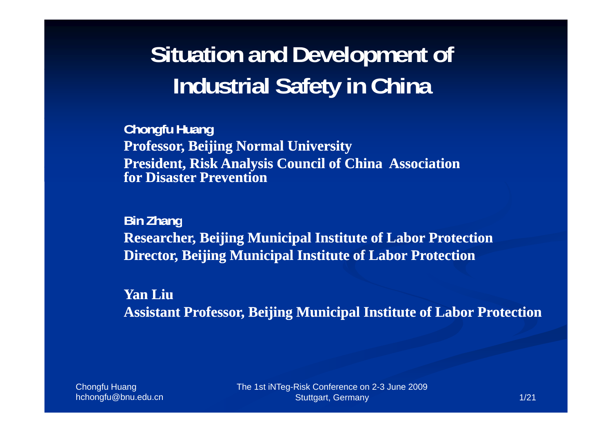## **Situation and Development of Industrial Safety in China**

**Chongfu Huang Professor, Beijing Normal University President, Risk Analysis Council of China Association for Disaster Prevention**

**Bi Zh n an g Researcher, Beijing Municipal Institute of Labor Protection Director, Beijing Municipal Institute of Labor Protection**

**Yan LiuAssistant Professor Beijing Municipal Institute of Labor Protection Professor,** 

**Chongfu Huang** hchongfu@bnu.edu.cn The 1st iNTeg-Risk Conference on 2-3 June 2009 Stuttgart, Germany 1/21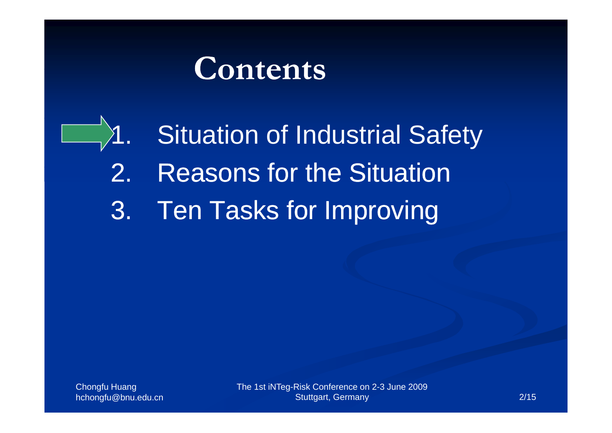# **Contents**

Situation of Industrial Safety

- 2.**Reasons for the Situation**
- 3. Ten Tasks for Improving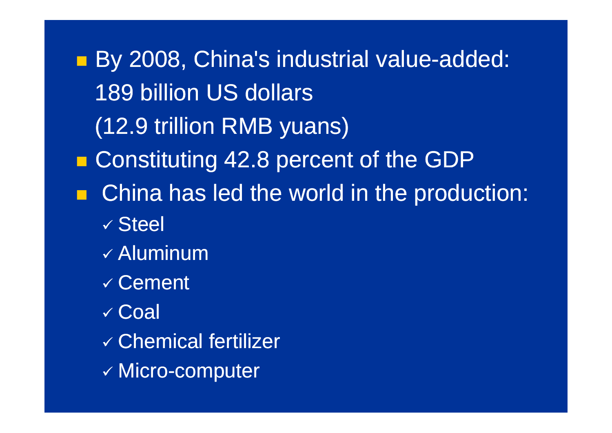p. **By 2008, China's industrial value-added:** 189 billion US dollars (12.9 trillion RMB yuans) F **E** Constituting 42.8 percent of the GDP  $\blacksquare$  China has led the world in the production: √ Steel  $\checkmark$  Aluminum  $\checkmark$  Cement 9 Coal  $\checkmark$  Chemical fertilizer  $\checkmark$  Micro-computer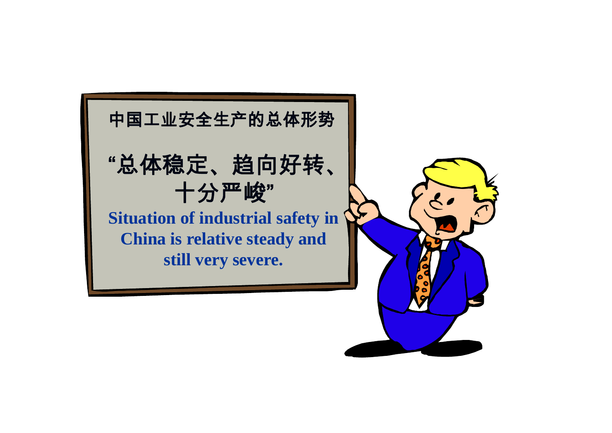

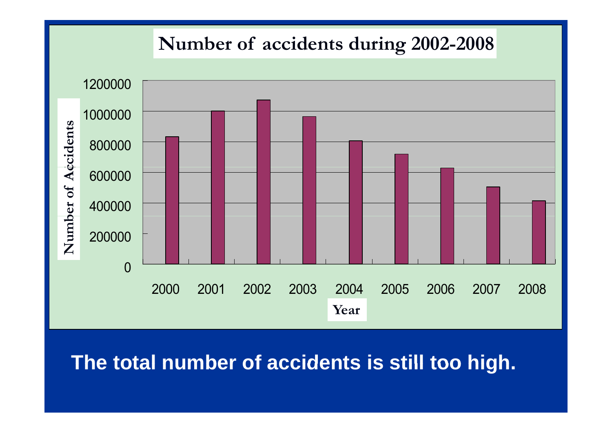#### Number of accidents during 2002-2008



#### **The total number of accidents is still too high too high.**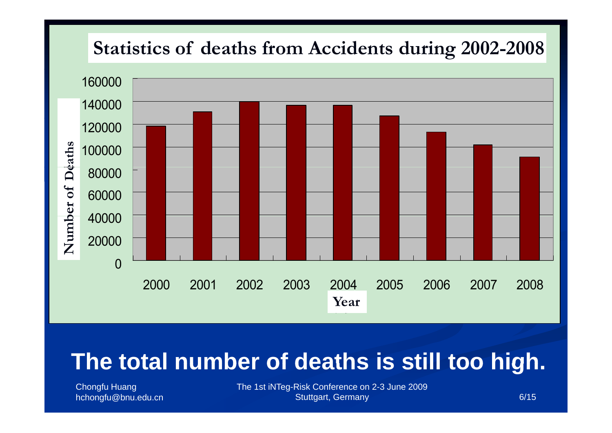

### **The total number of deaths is still too high high.**

Chongfu Huang

hchongfu@bnu.edu.cn 6/15 The 1st iNTeg-Risk Conference on 2-3 June 2009 Stuttgart, Germany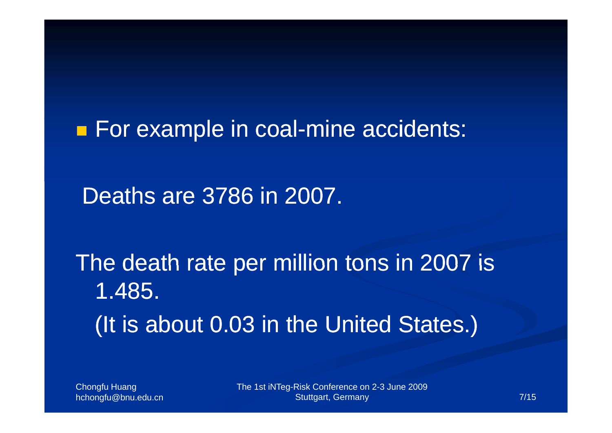p. **For example in coal-mine accidents:** 

Deaths are 3786 in 2007.

The death rate per million tons in 2007 is 1.485. (It is about 0.03 in the United States.)

Chongfu Huang

hchongfu@bnu.edu.cn 7/15 The 1st iNTeg-Risk Conference on 2-3 June 2009 Stuttgart, Germany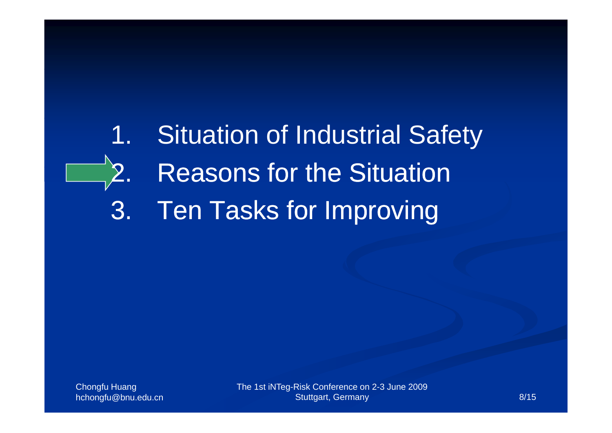## 1. Situation of Industrial Safety 2.. Reasons for the Situation 3. Ten Tasks for Improving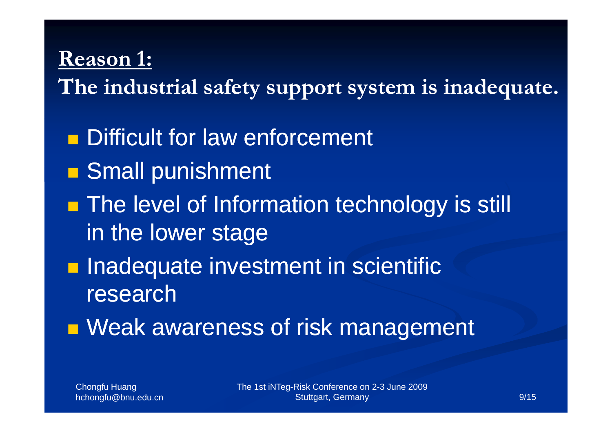#### **Reason 1:**

**The industrial safety support system is inadequate.**

**Difficult for law enforcement** 

- F **Small punishment**
- F **The level of Information technology is still** in the lower stage
- F **Inadequate investment in scientific** research
- F **Neak awareness of risk management**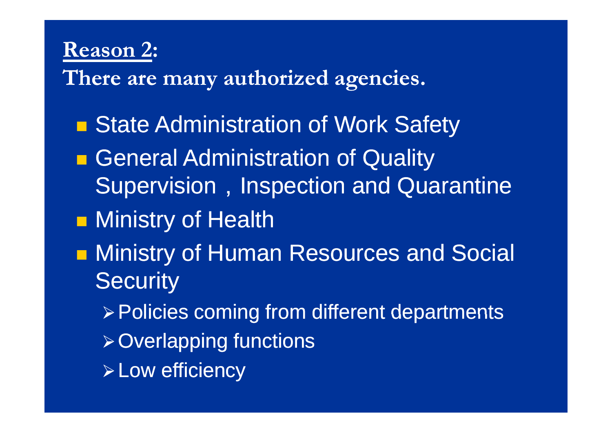#### **Reason 2:**

**There are many authorized agencies.**

- p. **State Administration of Work Safety**
- F **General Administration of Quality** Supervision, Inspection and Quarantine
- p. **Ninistry of Health**
- F **• Ministry of Human Resources and Social Security** 
	- <sup>¾</sup>Policies coming from different departments
	- $\triangleright$  Overlapping functions
	- $\triangleright$  Low efficiency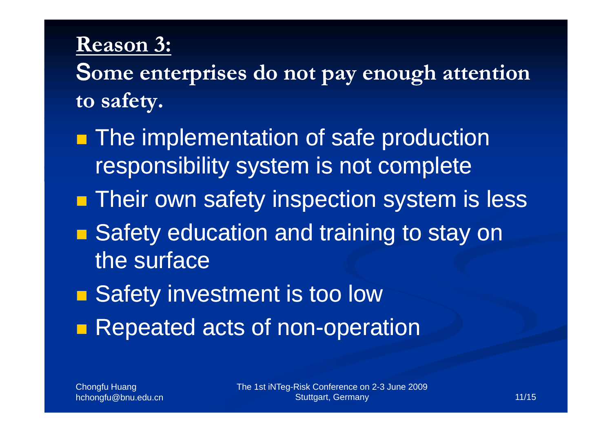### **Reason 3:**

S**ome ent <sup>i</sup> <sup>d</sup> <sup>t</sup> <sup>h</sup> tt ti terprises do not pay enoug enough attention to safety.**

- p. **The implementation of safe production** responsibility system is not complete
- p. **Their own safety inspection system is less**
- ■ Safety education and training to stay on the surface
- F **Safety investment is too low** F **Repeated acts of non-operation**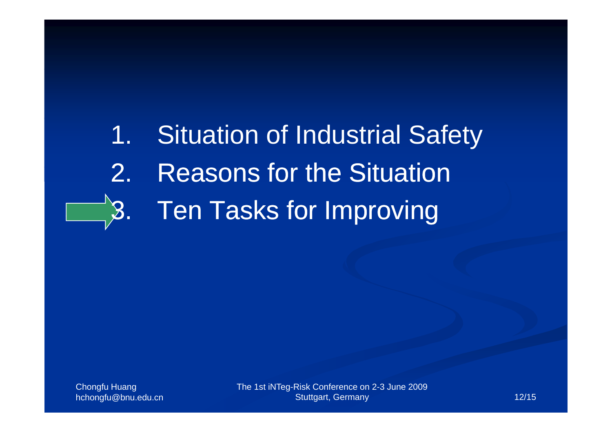# 1. Situation of Industrial Safety

- 2.. Reasons for the Situation
- 3. Ten Tasks for Improving

Chongfu Huang

hchongfu@bnu.edu.cn 12/15 The 1st iNTeg-Risk Conference on 2-3 June 2009 Stuttgart, Germany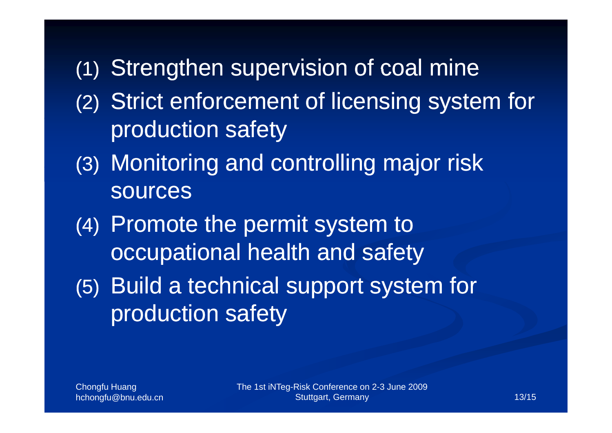### (1) Strengthen supervision of coal mine

- (2) Strict enforcement of licensing system for production safety
- (3) Monitoring and controlling major risk sources
- (4) Promote the permit system to occupational health and safety
- (5) Build a technical support system for production safety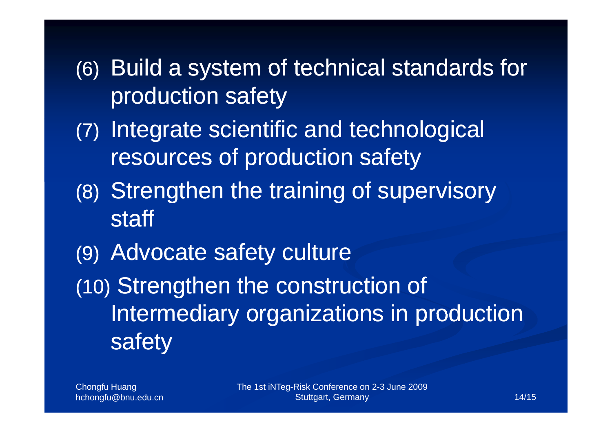- (6) Build a system of technical standards for production safety
- (7) Integrate scientific and technological resources of production safety
- (8) Strengthen the training of supervisory staff
- (9) Advocate safety culture

(10) Strengthen the construction of Intermediary organizations in production safety

Chongfu Huang

hchongfu@bnu.edu.cn 14/15 The 1st iNTeg-Risk Conference on 2-3 June 2009 Stuttgart, Germany